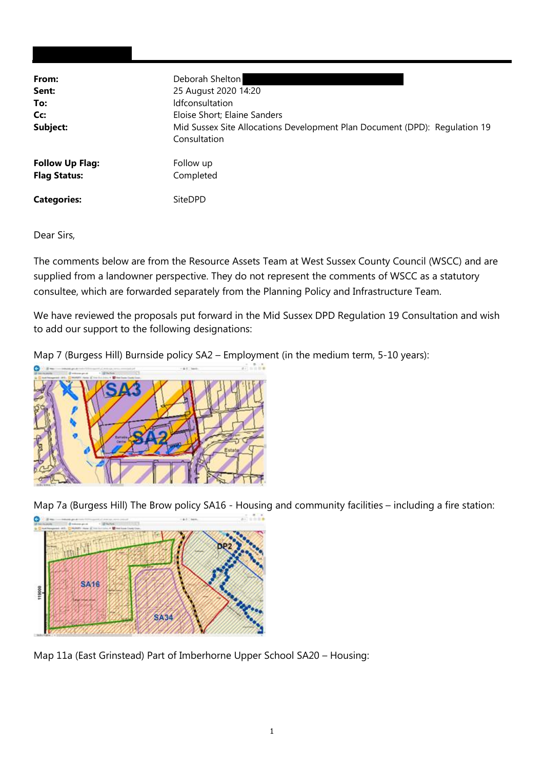| From:                  | Deborah Shelton                                                            |
|------------------------|----------------------------------------------------------------------------|
| Sent:                  | 25 August 2020 14:20                                                       |
| To:                    | <b>Idfconsultation</b>                                                     |
| Cc:                    | Eloise Short; Elaine Sanders                                               |
| Subject:               | Mid Sussex Site Allocations Development Plan Document (DPD): Regulation 19 |
|                        | Consultation                                                               |
| <b>Follow Up Flag:</b> | Follow up                                                                  |
| <b>Flag Status:</b>    | Completed                                                                  |
| <b>Categories:</b>     | <b>SiteDPD</b>                                                             |
|                        |                                                                            |

Dear Sirs,

The comments below are from the Resource Assets Team at West Sussex County Council (WSCC) and are supplied from a landowner perspective. They do not represent the comments of WSCC as a statutory consultee, which are forwarded separately from the Planning Policy and Infrastructure Team.

We have reviewed the proposals put forward in the Mid Sussex DPD Regulation 19 Consultation and wish to add our support to the following designations:

Map 7 (Burgess Hill) Burnside policy SA2 – Employment (in the medium term, 5-10 years):



Map 7a (Burgess Hill) The Brow policy SA16 - Housing and community facilities – including a fire station:



Map 11a (East Grinstead) Part of Imberhorne Upper School SA20 – Housing: